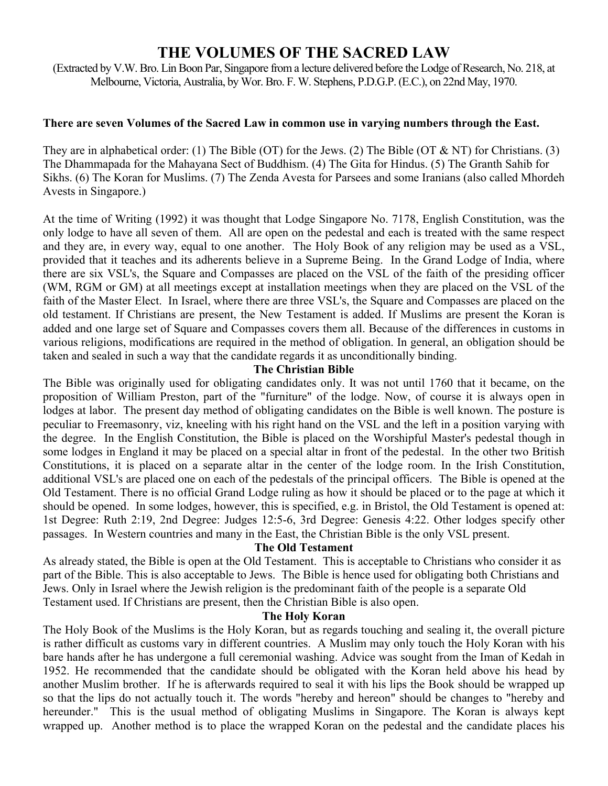# **THE VOLUMES OF THE SACRED LAW**

(Extracted by V.W. Bro. Lin Boon Par, Singapore from a lecture delivered before the Lodge of Research, No. 218, at Melbourne, Victoria, Australia, by Wor. Bro. F. W. Stephens, P.D.G.P. (E.C.), on 22nd May, 1970.

## **There are seven Volumes of the Sacred Law in common use in varying numbers through the East.**

They are in alphabetical order: (1) The Bible (OT) for the Jews. (2) The Bible (OT & NT) for Christians. (3) The Dhammapada for the Mahayana Sect of Buddhism. (4) The Gita for Hindus. (5) The Granth Sahib for Sikhs. (6) The Koran for Muslims. (7) The Zenda Avesta for Parsees and some Iranians (also called Mhordeh Avests in Singapore.)

At the time of Writing (1992) it was thought that Lodge Singapore No. 7178, English Constitution, was the only lodge to have all seven of them. All are open on the pedestal and each is treated with the same respect and they are, in every way, equal to one another. The Holy Book of any religion may be used as a VSL, provided that it teaches and its adherents believe in a Supreme Being. In the Grand Lodge of India, where there are six VSL's, the Square and Compasses are placed on the VSL of the faith of the presiding officer (WM, RGM or GM) at all meetings except at installation meetings when they are placed on the VSL of the faith of the Master Elect. In Israel, where there are three VSL's, the Square and Compasses are placed on the old testament. If Christians are present, the New Testament is added. If Muslims are present the Koran is added and one large set of Square and Compasses covers them all. Because of the differences in customs in various religions, modifications are required in the method of obligation. In general, an obligation should be taken and sealed in such a way that the candidate regards it as unconditionally binding.

## **The Christian Bible**

The Bible was originally used for obligating candidates only. It was not until 1760 that it became, on the proposition of William Preston, part of the "furniture" of the lodge. Now, of course it is always open in lodges at labor. The present day method of obligating candidates on the Bible is well known. The posture is peculiar to Freemasonry, viz, kneeling with his right hand on the VSL and the left in a position varying with the degree. In the English Constitution, the Bible is placed on the Worshipful Master's pedestal though in some lodges in England it may be placed on a special altar in front of the pedestal. In the other two British Constitutions, it is placed on a separate altar in the center of the lodge room. In the Irish Constitution, additional VSL's are placed one on each of the pedestals of the principal officers. The Bible is opened at the Old Testament. There is no official Grand Lodge ruling as how it should be placed or to the page at which it should be opened. In some lodges, however, this is specified, e.g. in Bristol, the Old Testament is opened at: 1st Degree: Ruth 2:19, 2nd Degree: Judges 12:5-6, 3rd Degree: Genesis 4:22. Other lodges specify other passages. In Western countries and many in the East, the Christian Bible is the only VSL present.

## **The Old Testament**

As already stated, the Bible is open at the Old Testament. This is acceptable to Christians who consider it as part of the Bible. This is also acceptable to Jews. The Bible is hence used for obligating both Christians and Jews. Only in Israel where the Jewish religion is the predominant faith of the people is a separate Old Testament used. If Christians are present, then the Christian Bible is also open.

#### **The Holy Koran**

The Holy Book of the Muslims is the Holy Koran, but as regards touching and sealing it, the overall picture is rather difficult as customs vary in different countries. A Muslim may only touch the Holy Koran with his bare hands after he has undergone a full ceremonial washing. Advice was sought from the Iman of Kedah in 1952. He recommended that the candidate should be obligated with the Koran held above his head by another Muslim brother. If he is afterwards required to seal it with his lips the Book should be wrapped up so that the lips do not actually touch it. The words "hereby and hereon" should be changes to "hereby and hereunder." This is the usual method of obligating Muslims in Singapore. The Koran is always kept wrapped up. Another method is to place the wrapped Koran on the pedestal and the candidate places his